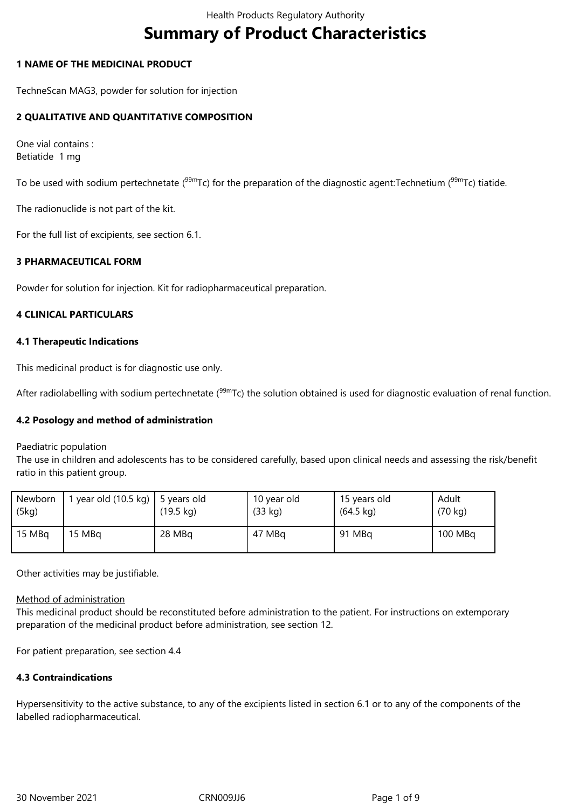# **Summary of Product Characteristics**

#### **1 NAME OF THE MEDICINAL PRODUCT**

TechneScan MAG3, powder for solution for injection

## **2 QUALITATIVE AND QUANTITATIVE COMPOSITION**

One vial contains : Betiatide 1 mg

To be used with sodium pertechnetate ( $99mTc$ ) for the preparation of the diagnostic agent:Technetium ( $99mTc$ ) tiatide.

The radionuclide is not part of the kit.

For the full list of excipients, see section 6.1.

## **3 PHARMACEUTICAL FORM**

Powder for solution for injection. Kit for radiopharmaceutical preparation.

#### **4 CLINICAL PARTICULARS**

#### **4.1 Therapeutic Indications**

This medicinal product is for diagnostic use only.

After radiolabelling with sodium pertechnetate (<sup>99m</sup>Tc) the solution obtained is used for diagnostic evaluation of renal function.

#### **4.2 Posology and method of administration**

Paediatric population

The use in children and adolescents has to be considered carefully, based upon clinical needs and assessing the risk/benefit ratio in this patient group.

| Newborn<br>(5kg) | year old $(10.5 \text{ kg})$   5 years old | $(19.5 \text{ kg})$ | 10 year old<br>(33 kg) | 15 years old<br>$(64.5 \text{ kg})$ | Adult<br>$(70 \text{ kg})$ |
|------------------|--------------------------------------------|---------------------|------------------------|-------------------------------------|----------------------------|
| 15 MBg           | 15 MBa                                     | 28 MBq              | 47 MBq                 | 91 MBq                              | 100 MBq                    |

Other activities may be justifiable.

#### Method of administration

This medicinal product should be reconstituted before administration to the patient. For instructions on extemporary preparation of the medicinal product before administration, see section 12.

For patient preparation, see section 4.4

#### **4.3 Contraindications**

Hypersensitivity to the active substance, to any of the excipients listed in section 6.1 or to any of the components of the labelled radiopharmaceutical.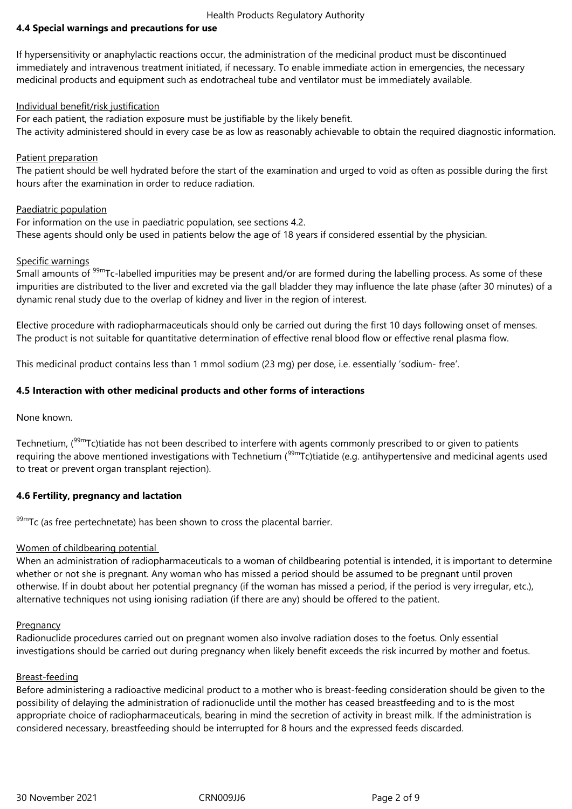#### Health Products Regulatory Authority

## **4.4 Special warnings and precautions for use**

If hypersensitivity or anaphylactic reactions occur, the administration of the medicinal product must be discontinued immediately and intravenous treatment initiated, if necessary. To enable immediate action in emergencies, the necessary medicinal products and equipment such as endotracheal tube and ventilator must be immediately available.

#### Individual benefit/risk justification

For each patient, the radiation exposure must be justifiable by the likely benefit. The activity administered should in every case be as low as reasonably achievable to obtain the required diagnostic information.

#### Patient preparation

The patient should be well hydrated before the start of the examination and urged to void as often as possible during the first hours after the examination in order to reduce radiation.

#### Paediatric population

For information on the use in paediatric population, see sections 4.2. These agents should only be used in patients below the age of 18 years if considered essential by the physician.

#### Specific warnings

Small amounts of <sup>99m</sup>Tc-labelled impurities may be present and/or are formed during the labelling process. As some of these impurities are distributed to the liver and excreted via the gall bladder they may influence the late phase (after 30 minutes) of a dynamic renal study due to the overlap of kidney and liver in the region of interest.

Elective procedure with radiopharmaceuticals should only be carried out during the first 10 days following onset of menses. The product is not suitable for quantitative determination of effective renal blood flow or effective renal plasma flow.

This medicinal product contains less than 1 mmol sodium (23 mg) per dose, i.e. essentially 'sodium- free'.

#### **4.5 Interaction with other medicinal products and other forms of interactions**

None known.

Technetium,  $(^{99m}$ Tc)tiatide has not been described to interfere with agents commonly prescribed to or given to patients requiring the above mentioned investigations with Technetium ( $99m$ Tc)tiatide (e.g. antihypertensive and medicinal agents used to treat or prevent organ transplant rejection).

#### **4.6 Fertility, pregnancy and lactation**

 $99m$ Tc (as free pertechnetate) has been shown to cross the placental barrier.

#### Women of childbearing potential

When an administration of radiopharmaceuticals to a woman of childbearing potential is intended, it is important to determine whether or not she is pregnant. Any woman who has missed a period should be assumed to be pregnant until proven otherwise. If in doubt about her potential pregnancy (if the woman has missed a period, if the period is very irregular, etc.), alternative techniques not using ionising radiation (if there are any) should be offered to the patient.

#### **Pregnancy**

Radionuclide procedures carried out on pregnant women also involve radiation doses to the foetus. Only essential investigations should be carried out during pregnancy when likely benefit exceeds the risk incurred by mother and foetus.

#### Breast-feeding

Before administering a radioactive medicinal product to a mother who is breast-feeding consideration should be given to the possibility of delaying the administration of radionuclide until the mother has ceased breastfeeding and to is the most appropriate choice of radiopharmaceuticals, bearing in mind the secretion of activity in breast milk. If the administration is considered necessary, breastfeeding should be interrupted for 8 hours and the expressed feeds discarded.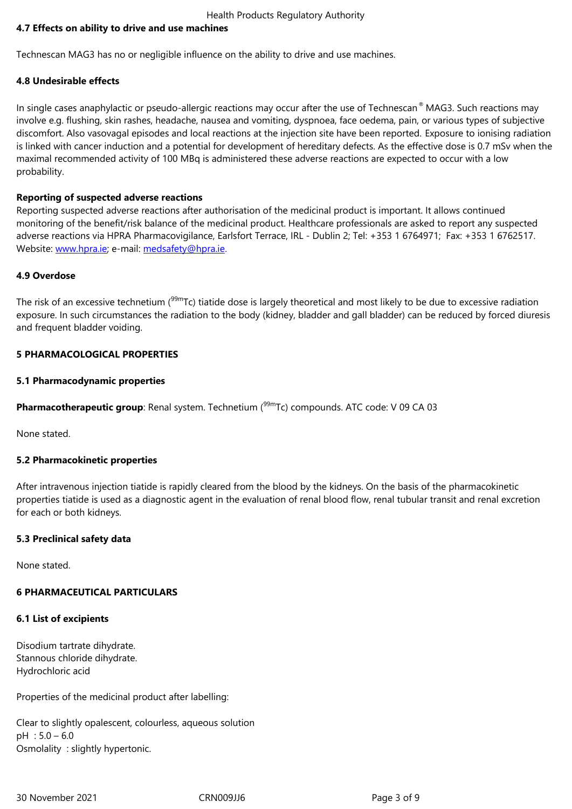Technescan MAG3 has no or negligible influence on the ability to drive and use machines.

#### **4.8 Undesirable effects**

In single cases anaphylactic or pseudo-allergic reactions may occur after the use of Technescan® MAG3. Such reactions may involve e.g. flushing, skin rashes, headache, nausea and vomiting, dyspnoea, face oedema, pain, or various types of subjective discomfort. Also vasovagal episodes and local reactions at the injection site have been reported. Exposure to ionising radiation is linked with cancer induction and a potential for development of hereditary defects. As the effective dose is 0.7 mSv when the maximal recommended activity of 100 MBq is administered these adverse reactions are expected to occur with a low probability.

#### **Reporting of suspected adverse reactions**

Reporting suspected adverse reactions after authorisation of the medicinal product is important. It allows continued monitoring of the benefit/risk balance of the medicinal product. Healthcare professionals are asked to report any suspected adverse reactions via HPRA Pharmacovigilance, Earlsfort Terrace, IRL - Dublin 2; Tel: +353 1 6764971; Fax: +353 1 6762517. Website: www.hpra.ie; e-mail: medsafety@hpra.ie.

#### **4.9 Overdose**

The risk [of an excessiv](http://www.hpra.ie/)e technetium (<sup>99m</sup>[Tc\) tiatide](mailto:medsafety@hpra.ie) dose is largely theoretical and most likely to be due to excessive radiation exposure. In such circumstances the radiation to the body (kidney, bladder and gall bladder) can be reduced by forced diuresis and frequent bladder voiding.

#### **5 PHARMACOLOGICAL PROPERTIES**

#### **5.1 Pharmacodynamic properties**

Pharmacotherapeutic group: Renal system. Technetium (<sup>99m</sup>Tc) compounds. ATC code: V 09 CA 03

None stated.

#### **5.2 Pharmacokinetic properties**

After intravenous injection tiatide is rapidly cleared from the blood by the kidneys. On the basis of the pharmacokinetic properties tiatide is used as a diagnostic agent in the evaluation of renal blood flow, renal tubular transit and renal excretion for each or both kidneys.

#### **5.3 Preclinical safety data**

None stated.

## **6 PHARMACEUTICAL PARTICULARS**

## **6.1 List of excipients**

Disodium tartrate dihydrate. Stannous chloride dihydrate. Hydrochloric acid

Properties of the medicinal product after labelling:

Clear to slightly opalescent, colourless, aqueous solution  $pH : 5.0 - 6.0$ Osmolality : slightly hypertonic.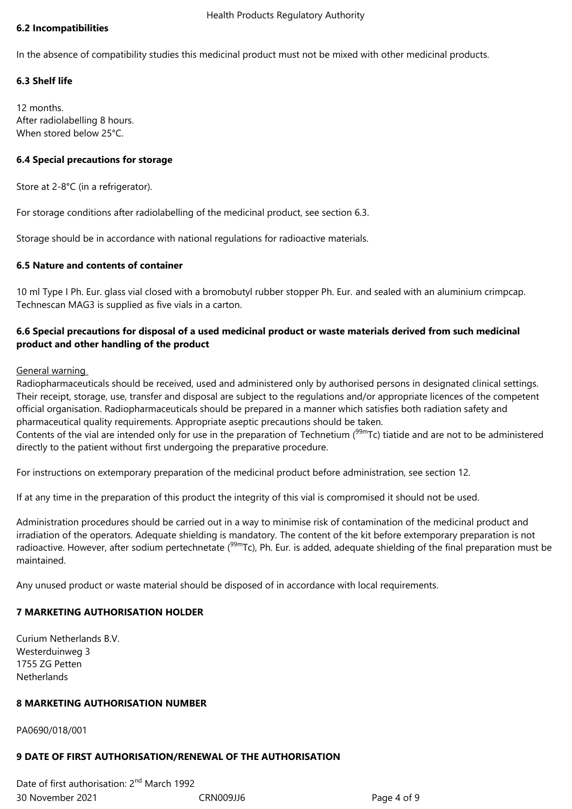## **6.2 Incompatibilities**

In the absence of compatibility studies this medicinal product must not be mixed with other medicinal products.

## **6.3 Shelf life**

12 months. After radiolabelling 8 hours. When stored below 25°C.

## **6.4 Special precautions for storage**

Store at 2-8°C (in a refrigerator).

For storage conditions after radiolabelling of the medicinal product, see section 6.3.

Storage should be in accordance with national regulations for radioactive materials.

## **6.5 Nature and contents of container**

10 ml Type I Ph. Eur. glass vial closed with a bromobutyl rubber stopper Ph. Eur. and sealed with an aluminium crimpcap. Technescan MAG3 is supplied as five vials in a carton.

## **6.6 Special precautions for disposal of a used medicinal product or waste materials derived from such medicinal product and other handling of the product**

General warning

Radiopharmaceuticals should be received, used and administered only by authorised persons in designated clinical settings. Their receipt, storage, use, transfer and disposal are subject to the regulations and/or appropriate licences of the competent official organisation. Radiopharmaceuticals should be prepared in a manner which satisfies both radiation safety and pharmaceutical quality requirements. Appropriate aseptic precautions should be taken.

Contents of the vial are intended only for use in the preparation of Technetium ( $99m$ Tc) tiatide and are not to be administered directly to the patient without first undergoing the preparative procedure.

For instructions on extemporary preparation of the medicinal product before administration, see section 12.

If at any time in the preparation of this product the integrity of this vial is compromised it should not be used.

Administration procedures should be carried out in a way to minimise risk of contamination of the medicinal product and irradiation of the operators. Adequate shielding is mandatory. The content of the kit before extemporary preparation is not radioactive. However, after sodium pertechnetate (99mTc), Ph. Eur*.* is added, adequate shielding of the final preparation must be maintained.

Any unused product or waste material should be disposed of in accordance with local requirements.

## **7 MARKETING AUTHORISATION HOLDER**

Curium Netherlands B.V. Westerduinweg 3 1755 ZG Petten Netherlands

## **8 MARKETING AUTHORISATION NUMBER**

PA0690/018/001

## **9 DATE OF FIRST AUTHORISATION/RENEWAL OF THE AUTHORISATION**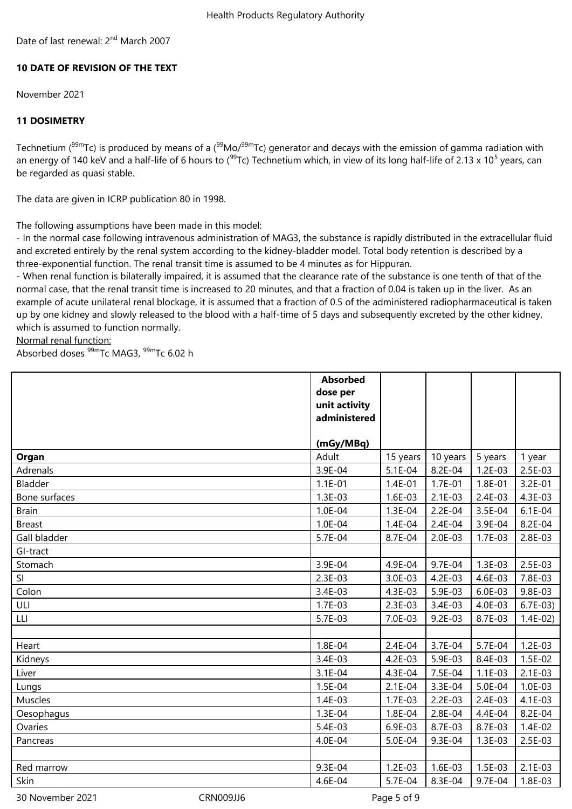Date of last renewal: 2<sup>nd</sup> March 2007

## **10 DATE OF REVISION OF THE TEXT**

November 2021

## **11 DOSIMETRY**

Technetium ( $99mTc$ ) is produced by means of a ( $99Mo/99mTc$ ) generator and decays with the emission of gamma radiation with an energy of 140 keV and a half-life of 6 hours to (<sup>99</sup>Tc) Technetium which, in view of its long half-life of 2.13 x 10<sup>5</sup> years, can be regarded as quasi stable.

The data are given in ICRP publication 80 in 1998.

The following assumptions have been made in this model:

- In the normal case following intravenous administration of MAG3, the substance is rapidly distributed in the extracellular fluid and excreted entirely by the renal system according to the kidney-bladder model. Total body retention is described by a three-exponential function. The renal transit time is assumed to be 4 minutes as for Hippuran.

- When renal function is bilaterally impaired, it is assumed that the clearance rate of the substance is one tenth of that of the normal case, that the renal transit time is increased to 20 minutes, and that a fraction of 0.04 is taken up in the liver. As an example of acute unilateral renal blockage, it is assumed that a fraction of 0.5 of the administered radiopharmaceutical is taken up by one kidney and slowly released to the blood with a half-time of 5 days and subsequently excreted by the other kidney, which is assumed to function normally.

Normal renal function:

Absorbed doses 99mTc MAG3, 99mTc 6.02 h

|               | <b>Absorbed</b><br>dose per |             |           |           |           |
|---------------|-----------------------------|-------------|-----------|-----------|-----------|
|               | unit activity               |             |           |           |           |
|               | administered                |             |           |           |           |
|               |                             |             |           |           |           |
|               | (mGy/MBq)                   |             |           |           |           |
| Organ         | Adult                       | 15 years    | 10 years  | 5 years   | 1 year    |
| Adrenals      | 3.9E-04                     | 5.1E-04     | 8.2E-04   | $1.2E-03$ | 2.5E-03   |
| Bladder       | $1.1E - 01$                 | $1.4E - 01$ | $1.7E-01$ | 1.8E-01   | 3.2E-01   |
| Bone surfaces | $1.3E-03$                   | $1.6E-03$   | $2.1E-03$ | $2.4E-03$ | 4.3E-03   |
| <b>Brain</b>  | 1.0E-04                     | 1.3E-04     | $2.2E-04$ | 3.5E-04   | $6.1E-04$ |
| <b>Breast</b> | 1.0E-04                     | 1.4E-04     | $2.4E-04$ | 3.9E-04   | 8.2E-04   |
| Gall bladder  | 5.7E-04                     | 8.7E-04     | $2.0E-03$ | $1.7E-03$ | $2.8E-03$ |
| GI-tract      |                             |             |           |           |           |
| Stomach       | 3.9E-04                     | 4.9E-04     | 9.7E-04   | $1.3E-03$ | $2.5E-03$ |
| SI            | $2.3E-03$                   | 3.0E-03     | $4.2E-03$ | 4.6E-03   | 7.8E-03   |
| Colon         | 3.4E-03                     | 4.3E-03     | 5.9E-03   | $6.0E-03$ | 9.8E-03   |
| ULI           | $1.7E-03$                   | $2.3E-03$   | 3.4E-03   | 4.0E-03   | $6.7E-03$ |
| LLI           | 5.7E-03                     | 7.0E-03     | $9.2E-03$ | 8.7E-03   | $1.4E-02$ |
|               |                             |             |           |           |           |
| Heart         | 1.8E-04                     | $2.4E-04$   | 3.7E-04   | 5.7E-04   | $1.2E-03$ |
| Kidneys       | 3.4E-03                     | 4.2E-03     | 5.9E-03   | 8.4E-03   | $1.5E-02$ |
| Liver         | $3.1E-04$                   | 4.3E-04     | 7.5E-04   | $1.1E-03$ | $2.1E-03$ |
| Lungs         | 1.5E-04                     | $2.1E-04$   | 3.3E-04   | 5.0E-04   | $1.0E-03$ |
| Muscles       | $1.4E-03$                   | $1.7E-03$   | $2.2E-03$ | 2.4E-03   | 4.1E-03   |
| Oesophagus    | 1.3E-04                     | 1.8E-04     | 2.8E-04   | 4.4E-04   | 8.2E-04   |
| Ovaries       | 5.4E-03                     | 6.9E-03     | 8.7E-03   | 8.7E-03   | $1.4E-02$ |
| Pancreas      | 4.0E-04                     | 5.0E-04     | 9.3E-04   | $1.3E-03$ | $2.5E-03$ |
|               |                             |             |           |           |           |
| Red marrow    | 9.3E-04                     | $1.2E-03$   | 1.6E-03   | 1.5E-03   | $2.1E-03$ |
| Skin          | 4.6E-04                     | 5.7E-04     | 8.3E-04   | 9.7E-04   | 1.8E-03   |

30 November 2021 CRN009JJ6 Page 5 of 9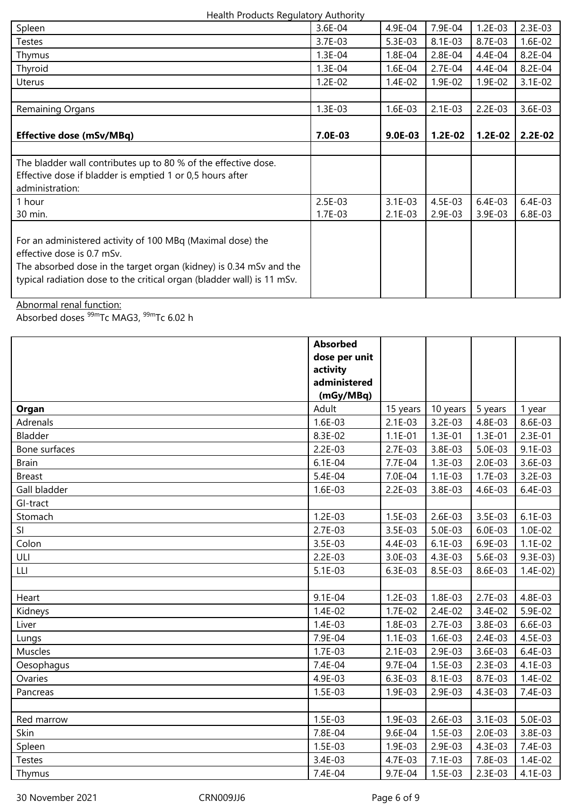#### Health Products Regulatory Authority

| Spleen                                                                 | 3.6E-04   | 4.9E-04     | 7.9E-04   | $1.2E-03$ | $2.3E-03$ |
|------------------------------------------------------------------------|-----------|-------------|-----------|-----------|-----------|
| Testes                                                                 | $3.7E-03$ | 5.3E-03     | 8.1E-03   | 8.7E-03   | $1.6E-02$ |
| Thymus                                                                 | $1.3E-04$ | $1.8E - 04$ | $2.8E-04$ | 4.4E-04   | 8.2E-04   |
| Thyroid                                                                | $1.3E-04$ | 1.6E-04     | 2.7E-04   | 4.4E-04   | 8.2E-04   |
| Uterus                                                                 | $1.2E-02$ | $1.4E-02$   | 1.9E-02   | $1.9E-02$ | $3.1E-02$ |
|                                                                        |           |             |           |           |           |
| Remaining Organs                                                       | $1.3E-03$ | 1.6E-03     | $2.1E-03$ | $2.2E-03$ | $3.6E-03$ |
|                                                                        |           |             |           |           |           |
| <b>Effective dose (mSv/MBq)</b>                                        | 7.0E-03   | $9.0E-03$   | $1.2E-02$ | $1.2E-02$ | $2.2E-02$ |
|                                                                        |           |             |           |           |           |
| The bladder wall contributes up to 80 % of the effective dose.         |           |             |           |           |           |
| Effective dose if bladder is emptied 1 or 0,5 hours after              |           |             |           |           |           |
| administration:                                                        |           |             |           |           |           |
| 1 hour                                                                 | 2.5E-03   | $3.1E-03$   | 4.5E-03   | 6.4E-03   | 6.4E-03   |
| 30 min.                                                                | $1.7E-03$ | $2.1E-03$   | 2.9E-03   | $3.9E-03$ | $6.8E-03$ |
|                                                                        |           |             |           |           |           |
| For an administered activity of 100 MBq (Maximal dose) the             |           |             |           |           |           |
| effective dose is 0.7 mSv.                                             |           |             |           |           |           |
| The absorbed dose in the target organ (kidney) is 0.34 mSv and the     |           |             |           |           |           |
| typical radiation dose to the critical organ (bladder wall) is 11 mSv. |           |             |           |           |           |
|                                                                        |           |             |           |           |           |

Abnormal renal function:

Absorbed doses <sup>99m</sup>Tc MAG3, <sup>99m</sup>Tc 6.02 h

|               | <b>Absorbed</b> |           |           |           |           |
|---------------|-----------------|-----------|-----------|-----------|-----------|
|               | dose per unit   |           |           |           |           |
|               | activity        |           |           |           |           |
|               | administered    |           |           |           |           |
|               | (mGy/MBq)       |           |           |           |           |
| Organ         | Adult           | 15 years  | 10 years  | 5 years   | 1 year    |
| Adrenals      | 1.6E-03         | $2.1E-03$ | $3.2E-03$ | 4.8E-03   | 8.6E-03   |
| Bladder       | 8.3E-02         | $1.1E-01$ | $1.3E-01$ | $1.3E-01$ | $2.3E-01$ |
| Bone surfaces | $2.2E-03$       | $2.7E-03$ | 3.8E-03   | 5.0E-03   | $9.1E-03$ |
| <b>Brain</b>  | $6.1E-04$       | 7.7E-04   | $1.3E-03$ | 2.0E-03   | 3.6E-03   |
| <b>Breast</b> | 5.4E-04         | 7.0E-04   | $1.1E-03$ | 1.7E-03   | 3.2E-03   |
| Gall bladder  | $1.6E-03$       | $2.2E-03$ | 3.8E-03   | 4.6E-03   | 6.4E-03   |
| GI-tract      |                 |           |           |           |           |
| Stomach       | $1.2E-03$       | $1.5E-03$ | $2.6E-03$ | 3.5E-03   | $6.1E-03$ |
| SI            | $2.7E-03$       | 3.5E-03   | 5.0E-03   | 6.0E-03   | $1.0E-02$ |
| Colon         | $3.5E-03$       | 4.4E-03   | $6.1E-03$ | 6.9E-03   | $1.1E-02$ |
| ULI           | $2.2E-03$       | 3.0E-03   | 4.3E-03   | 5.6E-03   | $9.3E-03$ |
| LLI.          | $5.1E-03$       | 6.3E-03   | 8.5E-03   | 8.6E-03   | $1.4E-02$ |
|               |                 |           |           |           |           |
| Heart         | 9.1E-04         | $1.2E-03$ | 1.8E-03   | 2.7E-03   | 4.8E-03   |
| Kidneys       | $1.4E-02$       | $1.7E-02$ | $2.4E-02$ | 3.4E-02   | 5.9E-02   |
| Liver         | $1.4E-03$       | 1.8E-03   | $2.7E-03$ | 3.8E-03   | 6.6E-03   |
| Lungs         | 7.9E-04         | $1.1E-03$ | 1.6E-03   | $2.4E-03$ | 4.5E-03   |
| Muscles       | $1.7E-03$       | $2.1E-03$ | 2.9E-03   | 3.6E-03   | 6.4E-03   |
| Oesophagus    | 7.4E-04         | 9.7E-04   | $1.5E-03$ | 2.3E-03   | 4.1E-03   |
| Ovaries       | 4.9E-03         | 6.3E-03   | 8.1E-03   | 8.7E-03   | $1.4E-02$ |
| Pancreas      | 1.5E-03         | 1.9E-03   | 2.9E-03   | 4.3E-03   | 7.4E-03   |
|               |                 |           |           |           |           |
| Red marrow    | $1.5E-03$       | 1.9E-03   | $2.6E-03$ | $3.1E-03$ | 5.0E-03   |
| Skin          | 7.8E-04         | 9.6E-04   | 1.5E-03   | $2.0E-03$ | 3.8E-03   |
| Spleen        | 1.5E-03         | 1.9E-03   | 2.9E-03   | 4.3E-03   | 7.4E-03   |
| <b>Testes</b> | 3.4E-03         | 4.7E-03   | $7.1E-03$ | 7.8E-03   | $1.4E-02$ |
| Thymus        | 7.4E-04         | 9.7E-04   | $1.5E-03$ | $2.3E-03$ | 4.1E-03   |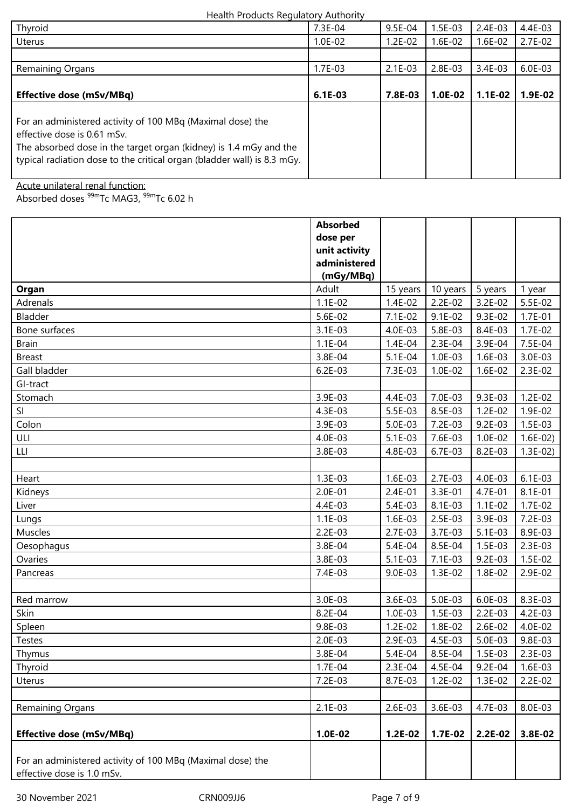#### Health Products Regulatory Authority

| Thyroid                                                                                                                                                                                                                                   | 7.3E-04   | $9.5E-04$ | $1.5E-03$ | $2.4E-03$ | 4.4E-03   |
|-------------------------------------------------------------------------------------------------------------------------------------------------------------------------------------------------------------------------------------------|-----------|-----------|-----------|-----------|-----------|
| <b>Uterus</b>                                                                                                                                                                                                                             | $1.0E-02$ | $1.2E-02$ | $1.6E-02$ | $1.6E-02$ | $2.7E-02$ |
|                                                                                                                                                                                                                                           |           |           |           |           |           |
| Remaining Organs                                                                                                                                                                                                                          | $1.7E-03$ | $2.1E-03$ | $2.8E-03$ | $3.4E-03$ | $6.0E-03$ |
|                                                                                                                                                                                                                                           |           |           |           |           |           |
| <b>Effective dose (mSv/MBq)</b>                                                                                                                                                                                                           | $6.1E-03$ | 7.8E-03   | $1.0E-02$ | $1.1E-02$ | $1.9E-02$ |
| For an administered activity of 100 MBq (Maximal dose) the<br>effective dose is 0.61 mSv.<br>The absorbed dose in the target organ (kidney) is 1.4 mGy and the<br>typical radiation dose to the critical organ (bladder wall) is 8.3 mGy. |           |           |           |           |           |

Acute unilateral renal function:

Absorbed doses <sup>99m</sup>Tc MAG3, <sup>99m</sup>Tc 6.02 h

|                                                            | <b>Absorbed</b> |           |           |             |           |
|------------------------------------------------------------|-----------------|-----------|-----------|-------------|-----------|
|                                                            | dose per        |           |           |             |           |
|                                                            | unit activity   |           |           |             |           |
|                                                            | administered    |           |           |             |           |
|                                                            | (mGy/MBq)       |           |           |             |           |
| Organ                                                      | Adult           | 15 years  | 10 years  | 5 years     | 1 year    |
| Adrenals                                                   | $1.1E-02$       | $1.4E-02$ | $2.2E-02$ | 3.2E-02     | 5.5E-02   |
| Bladder                                                    | 5.6E-02         | 7.1E-02   | $9.1E-02$ | 9.3E-02     | $1.7E-01$ |
| Bone surfaces                                              | 3.1E-03         | 4.0E-03   | 5.8E-03   | 8.4E-03     | $1.7E-02$ |
| <b>Brain</b>                                               | $1.1E-04$       | 1.4E-04   | 2.3E-04   | 3.9E-04     | 7.5E-04   |
| <b>Breast</b>                                              | 3.8E-04         | 5.1E-04   | $1.0E-03$ | $1.6E-03$   | 3.0E-03   |
| Gall bladder                                               | $6.2E-03$       | 7.3E-03   | $1.0E-02$ | $1.6E-02$   | $2.3E-02$ |
| GI-tract                                                   |                 |           |           |             |           |
| Stomach                                                    | 3.9E-03         | 4.4E-03   | 7.0E-03   | 9.3E-03     | $1.2E-02$ |
| SI                                                         | 4.3E-03         | 5.5E-03   | 8.5E-03   | $1.2E-02$   | 1.9E-02   |
| Colon                                                      | 3.9E-03         | 5.0E-03   | 7.2E-03   | $9.2E-03$   | 1.5E-03   |
| ULI                                                        | 4.0E-03         | 5.1E-03   | 7.6E-03   | $1.0E-02$   | $1.6E-02$ |
| LLI                                                        | 3.8E-03         | 4.8E-03   | 6.7E-03   | 8.2E-03     | $1.3E-02$ |
|                                                            |                 |           |           |             |           |
| Heart                                                      | $1.3E-03$       | 1.6E-03   | $2.7E-03$ | 4.0E-03     | $6.1E-03$ |
| Kidneys                                                    | $2.0E-01$       | $2.4E-01$ | 3.3E-01   | 4.7E-01     | 8.1E-01   |
| Liver                                                      | 4.4E-03         | 5.4E-03   | 8.1E-03   | $1.1E-02$   | $1.7E-02$ |
| Lungs                                                      | $1.1E-03$       | 1.6E-03   | 2.5E-03   | 3.9E-03     | 7.2E-03   |
| Muscles                                                    | $2.2E-03$       | $2.7E-03$ | 3.7E-03   | $5.1E-03$   | 8.9E-03   |
| Oesophagus                                                 | 3.8E-04         | 5.4E-04   | 8.5E-04   | 1.5E-03     | 2.3E-03   |
| Ovaries                                                    | 3.8E-03         | $5.1E-03$ | $7.1E-03$ | $9.2E - 03$ | 1.5E-02   |
| Pancreas                                                   | 7.4E-03         | 9.0E-03   | $1.3E-02$ | 1.8E-02     | 2.9E-02   |
|                                                            |                 |           |           |             |           |
| Red marrow                                                 | 3.0E-03         | 3.6E-03   | 5.0E-03   | $6.0E-03$   | 8.3E-03   |
| Skin                                                       | 8.2E-04         | $1.0E-03$ | 1.5E-03   | $2.2E-03$   | 4.2E-03   |
| Spleen                                                     | 9.8E-03         | $1.2E-02$ | 1.8E-02   | $2.6E-02$   | 4.0E-02   |
| Testes                                                     | $2.0E-03$       | 2.9E-03   | 4.5E-03   | 5.0E-03     | 9.8E-03   |
| Thymus                                                     | 3.8E-04         | 5.4E-04   | 8.5E-04   | 1.5E-03     | 2.3E-03   |
| Thyroid                                                    | $1.7E-04$       | 2.3E-04   | 4.5E-04   | 9.2E-04     | 1.6E-03   |
| Uterus                                                     | 7.2E-03         | 8.7E-03   | $1.2E-02$ | $1.3E-02$   | $2.2E-02$ |
|                                                            |                 |           |           |             |           |
| Remaining Organs                                           | $2.1E-03$       | 2.6E-03   | 3.6E-03   | 4.7E-03     | 8.0E-03   |
|                                                            |                 |           |           |             |           |
| <b>Effective dose (mSv/MBq)</b>                            | $1.0E-02$       | $1.2E-02$ | 1.7E-02   | 2.2E-02     | 3.8E-02   |
|                                                            |                 |           |           |             |           |
| For an administered activity of 100 MBq (Maximal dose) the |                 |           |           |             |           |
| effective dose is 1.0 mSv.                                 |                 |           |           |             |           |

30 November 2021 CRN009JJ6 Page 7 of 9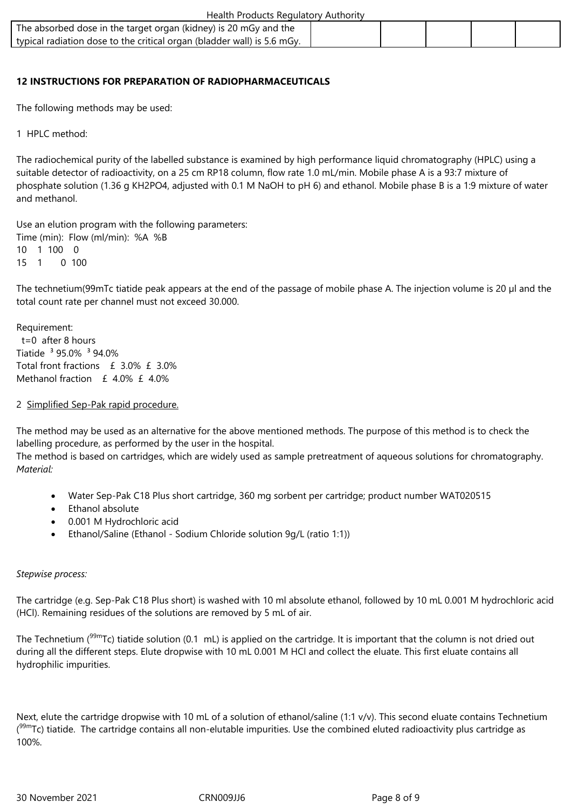| Health Products Regulatory Authority                                    |  |  |  |  |  |  |
|-------------------------------------------------------------------------|--|--|--|--|--|--|
| The absorbed dose in the target organ (kidney) is 20 mGy and the        |  |  |  |  |  |  |
| typical radiation dose to the critical organ (bladder wall) is 5.6 mGy. |  |  |  |  |  |  |

## **12 INSTRUCTIONS FOR PREPARATION OF RADIOPHARMACEUTICALS**

The following methods may be used:

1 HPLC method:

The radiochemical purity of the labelled substance is examined by high performance liquid chromatography (HPLC) using a suitable detector of radioactivity, on a 25 cm RP18 column, flow rate 1.0 mL/min. Mobile phase A is a 93:7 mixture of phosphate solution (1.36 g KH2PO4, adjusted with 0.1 M NaOH to pH 6) and ethanol. Mobile phase B is a 1:9 mixture of water and methanol.

Use an elution program with the following parameters: Time (min): Flow (ml/min): %A %B 10 1 100 0  $15 \quad 1 \quad 0 \quad 100$ 

The technetium(99mTc tiatide peak appears at the end of the passage of mobile phase A. The injection volume is 20 µl and the total count rate per channel must not exceed 30.000.

Requirement: t=0 after 8 hours Tiatide ³ 95.0% ³ 94.0% Total front fractions £ 3.0% £ 3.0% Methanol fraction  $f$  4.0%  $f$  4.0%

#### 2 Simplified Sep-Pak rapid procedure.

The method may be used as an alternative for the above mentioned methods. The purpose of this method is to check the labelling procedure, as performed by the user in the hospital.

The method is based on cartridges, which are widely used as sample pretreatment of aqueous solutions for chromatography. *Material:*

- Water Sep-Pak C18 Plus short cartridge, 360 mg sorbent per cartridge; product number WAT020515
- Ethanol absolute
- 0.001 M Hydrochloric acid
- Ethanol/Saline (Ethanol Sodium Chloride solution 9g/L (ratio 1:1))

#### *Stepwise process:*

The cartridge (e.g. Sep-Pak C18 Plus short) is washed with 10 ml absolute ethanol, followed by 10 mL 0.001 M hydrochloric acid (HCl). Remaining residues of the solutions are removed by 5 mL of air.

The Technetium ( $99m$ Tc) tiatide solution (0.1 mL) is applied on the cartridge. It is important that the column is not dried out during all the different steps. Elute dropwise with 10 mL 0.001 M HCl and collect the eluate. This first eluate contains all hydrophilic impurities.

Next, elute the cartridge dropwise with 10 mL of a solution of ethanol/saline (1:1 v/v). This second eluate contains Technetium (<sup>99m</sup>Tc) tiatide. The cartridge contains all non-elutable impurities. Use the combined eluted radioactivity plus cartridge as 100%.